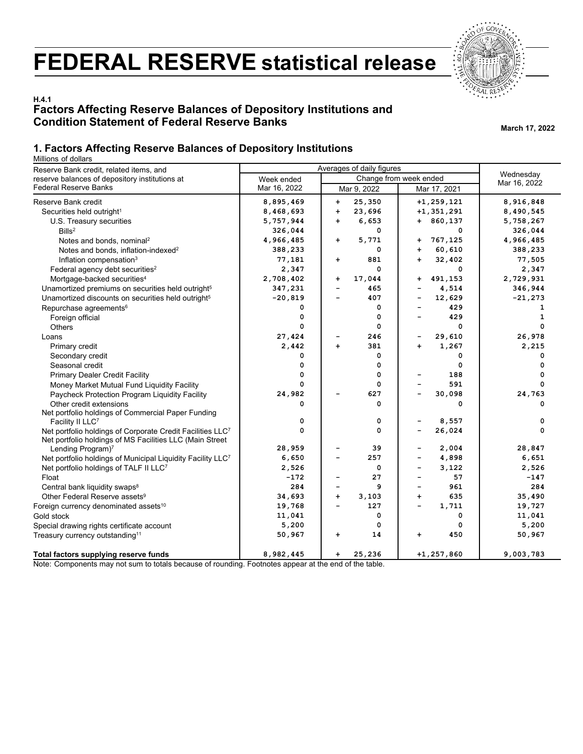# **FEDERAL RESERVE statistical release**



# **H.4.1 Factors Affecting Reserve Balances of Depository Institutions and Condition Statement of Federal Reserve Banks March 17, 2022**

## **1. Factors Affecting Reserve Balances of Depository Institutions**

Millions of dollars

| Reserve Bank credit, related items, and                                                                                | Averages of daily figures |                                 |                                |              |  |
|------------------------------------------------------------------------------------------------------------------------|---------------------------|---------------------------------|--------------------------------|--------------|--|
| reserve balances of depository institutions at                                                                         | Week ended                | Change from week ended          | Wednesday                      |              |  |
| <b>Federal Reserve Banks</b>                                                                                           | Mar 16, 2022              | Mar 9, 2022                     | Mar 17, 2021                   | Mar 16, 2022 |  |
| Reserve Bank credit                                                                                                    | 8,895,469                 | 25,350<br>$\ddot{}$             | $+1, 259, 121$                 | 8,916,848    |  |
| Securities held outright <sup>1</sup>                                                                                  | 8,468,693                 | $\ddot{\phantom{1}}$<br>23,696  | $+1, 351, 291$                 | 8,490,545    |  |
| U.S. Treasury securities                                                                                               | 5,757,944                 | $\ddot{\phantom{1}}$<br>6,653   | $+ 860, 137$                   | 5,758,267    |  |
| Bills <sup>2</sup>                                                                                                     | 326,044                   | 0                               | 0                              | 326,044      |  |
| Notes and bonds, nominal <sup>2</sup>                                                                                  | 4,966,485                 | 5,771<br>$\ddot{}$              | 767,125<br>+                   | 4,966,485    |  |
| Notes and bonds, inflation-indexed <sup>2</sup>                                                                        | 388,233                   | 0                               | 60,610<br>$\ddot{\phantom{1}}$ | 388,233      |  |
| Inflation compensation <sup>3</sup>                                                                                    | 77,181                    | 881<br>$\ddot{}$                | 32,402<br>$\ddot{\phantom{1}}$ | 77,505       |  |
| Federal agency debt securities <sup>2</sup>                                                                            | 2,347                     | 0                               | 0                              | 2,347        |  |
| Mortgage-backed securities <sup>4</sup>                                                                                | 2,708,402                 | 17,044<br>+                     | 491,153<br>+                   | 2,729,931    |  |
| Unamortized premiums on securities held outright <sup>5</sup>                                                          | 347,231                   | 465<br>$\overline{\phantom{0}}$ | 4,514                          | 346,944      |  |
| Unamortized discounts on securities held outright <sup>5</sup>                                                         | $-20,819$                 | 407<br>$\overline{\phantom{0}}$ | 12,629                         | $-21,273$    |  |
| Repurchase agreements <sup>6</sup>                                                                                     | 0                         | 0                               | 429                            | 1            |  |
| Foreign official                                                                                                       | 0                         | 0                               | 429                            | 1            |  |
| Others                                                                                                                 | 0                         | 0                               | 0                              | 0            |  |
| Loans                                                                                                                  | 27,424                    | 246                             | 29,610<br>-                    | 26,978       |  |
| Primary credit                                                                                                         | 2,442                     | 381<br>$+$                      | 1,267<br>$+$                   | 2,215        |  |
| Secondary credit                                                                                                       | 0                         | 0                               | 0                              | 0            |  |
| Seasonal credit                                                                                                        | 0                         | 0                               | 0                              | 0            |  |
| <b>Primary Dealer Credit Facility</b>                                                                                  | $\Omega$                  | 0                               | 188                            | 0            |  |
| Money Market Mutual Fund Liquidity Facility                                                                            | $\Omega$                  | 0                               | 591                            | $\mathbf 0$  |  |
| Paycheck Protection Program Liquidity Facility                                                                         | 24,982                    | 627                             | 30,098                         | 24,763       |  |
| Other credit extensions                                                                                                | 0                         | 0                               | 0                              | 0            |  |
| Net portfolio holdings of Commercial Paper Funding                                                                     |                           |                                 |                                |              |  |
| Facility II LLC7                                                                                                       | 0                         | 0                               | 8,557                          | 0            |  |
| Net portfolio holdings of Corporate Credit Facilities LLC7<br>Net portfolio holdings of MS Facilities LLC (Main Street | $\Omega$                  | 0                               | 26,024                         | 0            |  |
| Lending Program) <sup>7</sup>                                                                                          | 28,959                    | 39                              | 2,004                          | 28,847       |  |
| Net portfolio holdings of Municipal Liquidity Facility LLC <sup>7</sup>                                                | 6,650                     | 257                             | 4,898                          | 6,651        |  |
| Net portfolio holdings of TALF II LLC <sup>7</sup>                                                                     | 2,526                     | 0                               | 3,122<br>÷                     | 2,526        |  |
| Float                                                                                                                  | $-172$                    | 27<br>$\overline{\phantom{0}}$  | 57                             | $-147$       |  |
| Central bank liquidity swaps <sup>8</sup>                                                                              | 284                       | 9<br>$\overline{\phantom{0}}$   | 961                            | 284          |  |
| Other Federal Reserve assets <sup>9</sup>                                                                              | 34,693                    | 3,103<br>$\ddot{}$              | 635<br>$\ddot{\phantom{1}}$    | 35,490       |  |
| Foreign currency denominated assets <sup>10</sup>                                                                      | 19,768                    | 127                             | 1,711<br>$\overline{a}$        | 19,727       |  |
| Gold stock                                                                                                             | 11,041                    | 0                               | 0                              | 11,041       |  |
| Special drawing rights certificate account                                                                             | 5,200                     | 0                               | 0                              | 5,200        |  |
| Treasury currency outstanding <sup>11</sup>                                                                            | 50,967                    | 14<br>+                         | 450<br>+                       | 50,967       |  |
| Total factors supplying reserve funds                                                                                  | 8,982,445                 | 25,236<br>$\ddot{\phantom{1}}$  | $+1, 257, 860$                 | 9,003,783    |  |

Note: Components may not sum to totals because of rounding. Footnotes appear at the end of the table.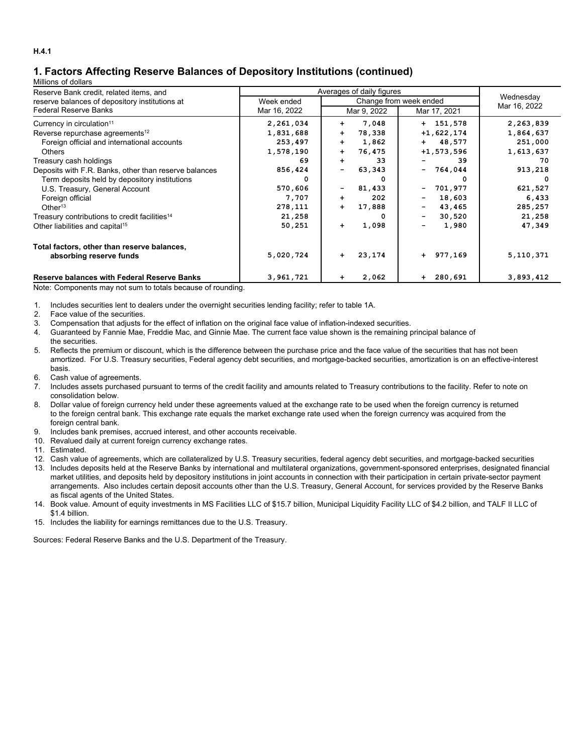# **1. Factors Affecting Reserve Balances of Depository Institutions (continued)**

#### Millions of dollars

| Reserve Bank credit, related items, and                   |              | Averages of daily figures      |                                    |              |  |  |  |  |  |  |
|-----------------------------------------------------------|--------------|--------------------------------|------------------------------------|--------------|--|--|--|--|--|--|
| reserve balances of depository institutions at            | Week ended   |                                | Change from week ended             |              |  |  |  |  |  |  |
| Federal Reserve Banks                                     | Mar 16, 2022 | Mar 9, 2022                    | Mar 17, 2021                       | Mar 16, 2022 |  |  |  |  |  |  |
| Currency in circulation <sup>11</sup>                     | 2,261,034    | 7,048<br>$+$                   | $+ 151,578$                        | 2,263,839    |  |  |  |  |  |  |
| Reverse repurchase agreements <sup>12</sup>               | 1,831,688    | 78,338<br>$+$                  | $+1,622,174$                       | 1,864,637    |  |  |  |  |  |  |
| Foreign official and international accounts               | 253,497      | 1,862<br>$+$                   | $+ 48,577$                         | 251,000      |  |  |  |  |  |  |
| Others                                                    | 1,578,190    | 76,475<br>$+$                  | $+1,573,596$                       | 1,613,637    |  |  |  |  |  |  |
| Treasury cash holdings                                    | 69           | 33<br>$+$                      | 39                                 | 70           |  |  |  |  |  |  |
| Deposits with F.R. Banks, other than reserve balances     | 856,424      | 63,343                         | 764,044<br>н.                      | 913,218      |  |  |  |  |  |  |
| Term deposits held by depository institutions             | 0            |                                |                                    | 0            |  |  |  |  |  |  |
| U.S. Treasury, General Account                            | 570,606      | 81,433                         | 701,977<br>Ξ.                      | 621,527      |  |  |  |  |  |  |
| Foreign official                                          | 7,707        | 202<br>$+$                     | 18,603<br>$\overline{\phantom{0}}$ | 6,433        |  |  |  |  |  |  |
| Other <sup>13</sup>                                       | 278,111      | 17,888<br>$\ddot{\phantom{1}}$ | 43,465                             | 285,257      |  |  |  |  |  |  |
| Treasury contributions to credit facilities <sup>14</sup> | 21,258       |                                | 30,520<br>$\overline{\phantom{0}}$ | 21,258       |  |  |  |  |  |  |
| Other liabilities and capital <sup>15</sup>               | 50,251       | 1,098<br>$+$                   | 1,980                              | 47,349       |  |  |  |  |  |  |
| Total factors, other than reserve balances,               |              |                                |                                    |              |  |  |  |  |  |  |
| absorbing reserve funds                                   | 5,020,724    | 23,174<br>$+$                  | + 977,169                          | 5,110,371    |  |  |  |  |  |  |
| <b>Reserve balances with Federal Reserve Banks</b>        | 3,961,721    | 2,062<br>$+$                   | $+ 280,691$                        | 3,893,412    |  |  |  |  |  |  |

Note: Components may not sum to totals because of rounding.

1. Includes securities lent to dealers under the overnight securities lending facility; refer to table 1A.

2. Face value of the securities.

3. Compensation that adjusts for the effect of inflation on the original face value of inflation-indexed securities.

4. Guaranteed by Fannie Mae, Freddie Mac, and Ginnie Mae. The current face value shown is the remaining principal balance of the securities.

5. Reflects the premium or discount, which is the difference between the purchase price and the face value of the securities that has not been amortized. For U.S. Treasury securities, Federal agency debt securities, and mortgage-backed securities, amortization is on an effective-interest basis.

- 6. Cash value of agreements.
- 7. Includes assets purchased pursuant to terms of the credit facility and amounts related to Treasury contributions to the facility. Refer to note on consolidation below.
- 8. Dollar value of foreign currency held under these agreements valued at the exchange rate to be used when the foreign currency is returned to the foreign central bank. This exchange rate equals the market exchange rate used when the foreign currency was acquired from the foreign central bank.
- 9. Includes bank premises, accrued interest, and other accounts receivable.
- 10. Revalued daily at current foreign currency exchange rates.
- 11. Estimated.

12. Cash value of agreements, which are collateralized by U.S. Treasury securities, federal agency debt securities, and mortgage-backed securities

- 13. Includes deposits held at the Reserve Banks by international and multilateral organizations, government-sponsored enterprises, designated financial market utilities, and deposits held by depository institutions in joint accounts in connection with their participation in certain private-sector payment arrangements. Also includes certain deposit accounts other than the U.S. Treasury, General Account, for services provided by the Reserve Banks as fiscal agents of the United States.
- 14. Book value. Amount of equity investments in MS Facilities LLC of \$15.7 billion, Municipal Liquidity Facility LLC of \$4.2 billion, and TALF II LLC of \$1.4 billion.
- 15. Includes the liability for earnings remittances due to the U.S. Treasury.

Sources: Federal Reserve Banks and the U.S. Department of the Treasury.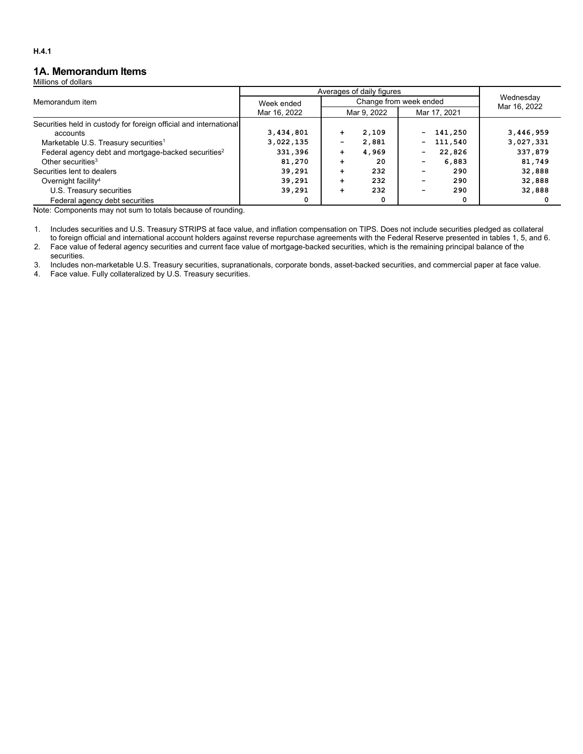## **1A. Memorandum Items**

Millions of dollars

|                                                                   | Averages of daily figures |                 |                        |                                     |           |
|-------------------------------------------------------------------|---------------------------|-----------------|------------------------|-------------------------------------|-----------|
| Memorandum item                                                   | Week ended                |                 | Change from week ended | Wednesday<br>Mar 16, 2022           |           |
|                                                                   | Mar 16, 2022              |                 | Mar 9, 2022            | Mar 17, 2021                        |           |
| Securities held in custody for foreign official and international |                           |                 |                        |                                     |           |
| accounts                                                          | 3,434,801                 | $\ddot{}$       | 2,109                  | 141,250<br>$\overline{\phantom{0}}$ | 3,446,959 |
| Marketable U.S. Treasury securities <sup>1</sup>                  | 3,022,135                 | $\qquad \qquad$ | 2,881                  | 111,540<br>$\overline{\phantom{0}}$ | 3,027,331 |
| Federal agency debt and mortgage-backed securities <sup>2</sup>   | 331,396                   | $\ddot{}$       | 4.969                  | 22,826<br>$\overline{\phantom{0}}$  | 337,879   |
| Other securities <sup>3</sup>                                     | 81,270                    | ÷               | 20                     | 6,883                               | 81,749    |
| Securities lent to dealers                                        | 39,291                    | ÷               | 232                    | 290                                 | 32,888    |
| Overnight facility <sup>4</sup>                                   | 39,291                    | ÷               | 232                    | 290                                 | 32,888    |
| U.S. Treasury securities                                          | 39,291                    | ÷               | 232                    | 290                                 | 32,888    |
| Federal agency debt securities                                    | 0                         |                 | 0                      | 0                                   |           |

Note: Components may not sum to totals because of rounding.

1. Includes securities and U.S. Treasury STRIPS at face value, and inflation compensation on TIPS. Does not include securities pledged as collateral to foreign official and international account holders against reverse repurchase agreements with the Federal Reserve presented in tables 1, 5, and 6.

2. Face value of federal agency securities and current face value of mortgage-backed securities, which is the remaining principal balance of the securities.

3. Includes non-marketable U.S. Treasury securities, supranationals, corporate bonds, asset-backed securities, and commercial paper at face value.

4. Face value. Fully collateralized by U.S. Treasury securities.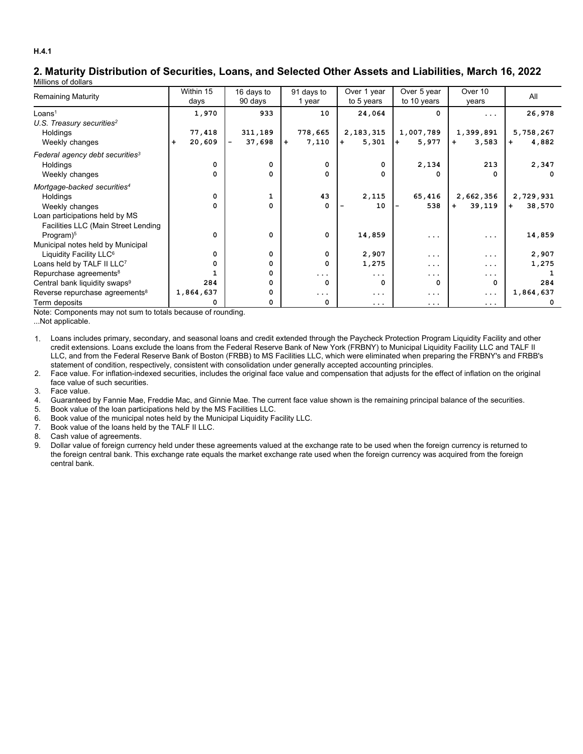### **2. Maturity Distribution of Securities, Loans, and Selected Other Assets and Liabilities, March 16, 2022** Millions of dollars

|                                             | Within 15           | 16 days to  | 91 days to   | Over 1 year  | Over 5 year  | Over 10       | All           |
|---------------------------------------------|---------------------|-------------|--------------|--------------|--------------|---------------|---------------|
| <b>Remaining Maturity</b>                   | days                | 90 days     | 1 year       | to 5 years   | to 10 years  | years         |               |
| Loans <sup>1</sup>                          | 1,970               | 933         | 10           | 24,064       | 0            | $\cdots$      | 26,978        |
| U.S. Treasury securities <sup>2</sup>       |                     |             |              |              |              |               |               |
| Holdings                                    | 77,418              | 311,189     | 778,665      | 2,183,315    | 1,007,789    | 1,399,891     | 5,758,267     |
| Weekly changes                              | 20,609<br>$\ddot{}$ | 37,698<br>- | 7,110<br>$+$ | 5,301<br>$+$ | 5,977<br>$+$ | 3,583<br>$+$  | 4,882<br>$+$  |
| Federal agency debt securities <sup>3</sup> |                     |             |              |              |              |               |               |
| Holdings                                    | 0                   | 0           | 0            | $\Omega$     | 2,134        | 213           | 2,347         |
| Weekly changes                              | 0                   | 0           | 0            | 0            | 0            | 0             |               |
| Mortgage-backed securities <sup>4</sup>     |                     |             |              |              |              |               |               |
| Holdings                                    | $\mathbf 0$         |             | 43           | 2,115        | 65,416       | 2,662,356     | 2,729,931     |
| Weekly changes                              | 0                   | 0           | 0            | 10           | 538          | 39,119<br>$+$ | 38,570<br>$+$ |
| Loan participations held by MS              |                     |             |              |              |              |               |               |
| Facilities LLC (Main Street Lending         |                     |             |              |              |              |               |               |
| Program) <sup>5</sup>                       | $\Omega$            | $\Omega$    | $\Omega$     | 14,859       | .            | .             | 14,859        |
| Municipal notes held by Municipal           |                     |             |              |              |              |               |               |
| Liquidity Facility LLC <sup>6</sup>         | 0                   | 0           | $\Omega$     | 2,907        | .            | .             | 2,907         |
| Loans held by TALF II LLC7                  | 0                   | 0           | 0            | 1,275        | $\cdots$     | .             | 1,275         |
| Repurchase agreements <sup>8</sup>          |                     |             | .            | $\cdots$     | .            | .             |               |
| Central bank liquidity swaps <sup>9</sup>   | 284                 | 0           | $\Omega$     | $\Omega$     | $\Omega$     | 0             | 284           |
| Reverse repurchase agreements <sup>8</sup>  | 1,864,637           |             | $\cdots$     | $\ddotsc$    | $\cdots$     | $\cdots$      | 1,864,637     |
| Term deposits                               |                     |             | 0            | $\ddotsc$    | $\cdots$     | $\cdots$      |               |

Note: Components may not sum to totals because of rounding.

...Not applicable.

1. Loans includes primary, secondary, and seasonal loans and credit extended through the Paycheck Protection Program Liquidity Facility and other credit extensions. Loans exclude the loans from the Federal Reserve Bank of New York (FRBNY) to Municipal Liquidity Facility LLC and TALF II LLC, and from the Federal Reserve Bank of Boston (FRBB) to MS Facilities LLC, which were eliminated when preparing the FRBNY's and FRBB's statement of condition, respectively, consistent with consolidation under generally accepted accounting principles.

2. Face value. For inflation-indexed securities, includes the original face value and compensation that adjusts for the effect of inflation on the original face value of such securities.

3. Face value.

- 4. Guaranteed by Fannie Mae, Freddie Mac, and Ginnie Mae. The current face value shown is the remaining principal balance of the securities.
- 5. Book value of the loan participations held by the MS Facilities LLC.
- 6. Book value of the municipal notes held by the Municipal Liquidity Facility LLC.
- 7. Book value of the loans held by the TALF II LLC.

8. Cash value of agreements.

9. Dollar value of foreign currency held under these agreements valued at the exchange rate to be used when the foreign currency is returned to the foreign central bank. This exchange rate equals the market exchange rate used when the foreign currency was acquired from the foreign central bank.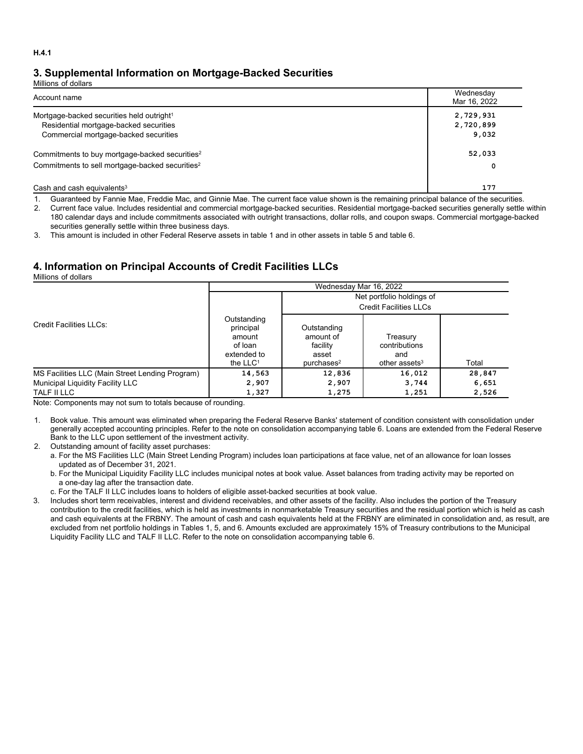# **3. Supplemental Information on Mortgage-Backed Securities**

Millions of dollars

| Account name                                                | Wednesday<br>Mar 16, 2022 |
|-------------------------------------------------------------|---------------------------|
| Mortgage-backed securities held outright <sup>1</sup>       | 2,729,931                 |
| Residential mortgage-backed securities                      | 2,720,899                 |
| Commercial mortgage-backed securities                       | 9,032                     |
| Commitments to buy mortgage-backed securities <sup>2</sup>  | 52,033                    |
| Commitments to sell mortgage-backed securities <sup>2</sup> | 0                         |
| Cash and cash equivalents $3$                               | 177                       |

1. Guaranteed by Fannie Mae, Freddie Mac, and Ginnie Mae. The current face value shown is the remaining principal balance of the securities.

2. Current face value. Includes residential and commercial mortgage-backed securities. Residential mortgage-backed securities generally settle within 180 calendar days and include commitments associated with outright transactions, dollar rolls, and coupon swaps. Commercial mortgage-backed securities generally settle within three business days.

3. This amount is included in other Federal Reserve assets in table 1 and in other assets in table 5 and table 6.

# **4. Information on Principal Accounts of Credit Facilities LLCs**

Millions of dollars

|                                                 | Wednesday Mar 16, 2022                                                     |                                                                            |                                                               |        |  |  |  |  |  |  |
|-------------------------------------------------|----------------------------------------------------------------------------|----------------------------------------------------------------------------|---------------------------------------------------------------|--------|--|--|--|--|--|--|
|                                                 |                                                                            | Net portfolio holdings of                                                  |                                                               |        |  |  |  |  |  |  |
|                                                 |                                                                            |                                                                            | <b>Credit Facilities LLCs</b>                                 |        |  |  |  |  |  |  |
| <b>Credit Facilities LLCs:</b>                  | Outstanding<br>principal<br>amount<br>of loan<br>extended to<br>the $LLC1$ | Outstanding<br>amount of<br>facility<br>asset<br>$pure$ hases <sup>2</sup> | Treasury<br>contributions<br>and<br>other assets <sup>3</sup> | Total  |  |  |  |  |  |  |
| MS Facilities LLC (Main Street Lending Program) | 14,563                                                                     | 12,836                                                                     | 16,012                                                        | 28,847 |  |  |  |  |  |  |
| Municipal Liquidity Facility LLC                | 2,907                                                                      | 2,907                                                                      | 3,744                                                         | 6,651  |  |  |  |  |  |  |
| TALF II LLC                                     | 1,327                                                                      | 1,275                                                                      | 1,251                                                         | 2,526  |  |  |  |  |  |  |

Note: Components may not sum to totals because of rounding.

1. Book value. This amount was eliminated when preparing the Federal Reserve Banks' statement of condition consistent with consolidation under generally accepted accounting principles. Refer to the note on consolidation accompanying table 6. Loans are extended from the Federal Reserve Bank to the LLC upon settlement of the investment activity.

2. Outstanding amount of facility asset purchases:

a. For the MS Facilities LLC (Main Street Lending Program) includes loan participations at face value, net of an allowance for loan losses updated as of December 31, 2021.

b. For the Municipal Liquidity Facility LLC includes municipal notes at book value. Asset balances from trading activity may be reported on a one-day lag after the transaction date.

c. For the TALF II LLC includes loans to holders of eligible asset-backed securities at book value.

3. Includes short term receivables, interest and dividend receivables, and other assets of the facility. Also includes the portion of the Treasury contribution to the credit facilities, which is held as investments in nonmarketable Treasury securities and the residual portion which is held as cash and cash equivalents at the FRBNY. The amount of cash and cash equivalents held at the FRBNY are eliminated in consolidation and, as result, are excluded from net portfolio holdings in Tables 1, 5, and 6. Amounts excluded are approximately 15% of Treasury contributions to the Municipal Liquidity Facility LLC and TALF II LLC. Refer to the note on consolidation accompanying table 6.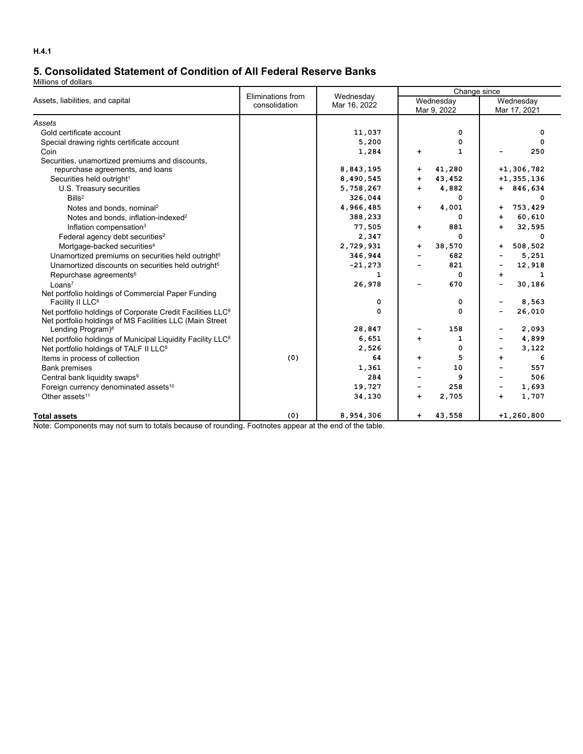# **5. Consolidated Statement of Condition of All Federal Reserve Banks**

Millions of dollars

|                                                                         | Eliminations from | Wednesday    | Change since |                          |                          |                           |  |  |
|-------------------------------------------------------------------------|-------------------|--------------|--------------|--------------------------|--------------------------|---------------------------|--|--|
| Assets, liabilities, and capital                                        | consolidation     | Mar 16, 2022 |              | Wednesday<br>Mar 9, 2022 |                          | Wednesday<br>Mar 17, 2021 |  |  |
| Assets                                                                  |                   |              |              |                          |                          |                           |  |  |
| Gold certificate account                                                |                   | 11,037       |              | 0                        |                          | 0                         |  |  |
| Special drawing rights certificate account                              |                   | 5,200        |              | 0                        |                          | 0                         |  |  |
| Coin                                                                    |                   | 1,284        | ÷            | 1                        |                          | 250                       |  |  |
| Securities, unamortized premiums and discounts,                         |                   |              |              |                          |                          |                           |  |  |
| repurchase agreements, and loans                                        |                   | 8,843,195    | $\ddot{}$    | 41,280                   |                          | $+1, 306, 782$            |  |  |
| Securities held outright <sup>1</sup>                                   |                   | 8,490,545    | $\ddot{}$    | 43,452                   |                          | $+1, 355, 136$            |  |  |
| U.S. Treasury securities                                                |                   | 5,758,267    | $+$          | 4,882                    |                          | $+ 846,634$               |  |  |
| Bills <sup>2</sup>                                                      |                   | 326,044      |              | 0                        |                          | 0                         |  |  |
| Notes and bonds, nominal <sup>2</sup>                                   |                   | 4,966,485    | $+$          | 4,001                    | $\ddot{}$                | 753,429                   |  |  |
| Notes and bonds, inflation-indexed <sup>2</sup>                         |                   | 388,233      |              | 0                        | $\ddot{}$                | 60,610                    |  |  |
| Inflation compensation <sup>3</sup>                                     |                   | 77,505       | $\ddot{}$    | 881                      | $+$                      | 32,595                    |  |  |
| Federal agency debt securities <sup>2</sup>                             |                   | 2,347        |              | 0                        |                          | 0                         |  |  |
| Mortgage-backed securities <sup>4</sup>                                 |                   | 2,729,931    | $+$          | 38,570                   | $\ddot{}$                | 508,502                   |  |  |
| Unamortized premiums on securities held outright <sup>5</sup>           |                   | 346,944      |              | 682                      |                          | 5,251                     |  |  |
| Unamortized discounts on securities held outright <sup>5</sup>          |                   | $-21,273$    |              | 821                      | $\blacksquare$           | 12,918                    |  |  |
| Repurchase agreements <sup>6</sup>                                      |                   | 1            |              | 0                        | $\ddot{}$                | 1                         |  |  |
| Loans <sup>7</sup>                                                      |                   | 26,978       |              | 670                      |                          | 30,186                    |  |  |
| Net portfolio holdings of Commercial Paper Funding                      |                   |              |              |                          |                          |                           |  |  |
| Facility II LLC <sup>8</sup>                                            |                   | 0            |              | 0                        | $\overline{\phantom{a}}$ | 8,563                     |  |  |
| Net portfolio holdings of Corporate Credit Facilities LLC <sup>8</sup>  |                   | 0            |              | 0                        | -                        | 26,010                    |  |  |
| Net portfolio holdings of MS Facilities LLC (Main Street                |                   |              |              |                          |                          |                           |  |  |
| Lending Program) <sup>8</sup>                                           |                   | 28,847       |              | 158                      | -                        | 2,093                     |  |  |
| Net portfolio holdings of Municipal Liquidity Facility LLC <sup>8</sup> |                   | 6,651        | ÷            | 1                        | -                        | 4,899                     |  |  |
| Net portfolio holdings of TALF II LLC <sup>8</sup>                      |                   | 2,526        |              | 0                        |                          | 3,122                     |  |  |
| Items in process of collection                                          | (0)               | 64           | $\ddot{}$    | 5<br>10                  | $+$                      | 6<br>557                  |  |  |
| <b>Bank premises</b>                                                    |                   | 1,361<br>284 |              | 9                        |                          | 506                       |  |  |
| Central bank liquidity swaps <sup>9</sup>                               |                   |              |              | 258                      |                          |                           |  |  |
| Foreign currency denominated assets <sup>10</sup>                       |                   | 19,727       |              |                          | -                        | 1,693                     |  |  |
| Other assets <sup>11</sup>                                              |                   | 34,130       | $+$          | 2,705                    | $+$                      | 1,707                     |  |  |
| <b>Total assets</b>                                                     | (0)               | 8,954,306    | $\ddot{}$    | 43,558                   |                          | $+1, 260, 800$            |  |  |

Note: Components may not sum to totals because of rounding. Footnotes appear at the end of the table.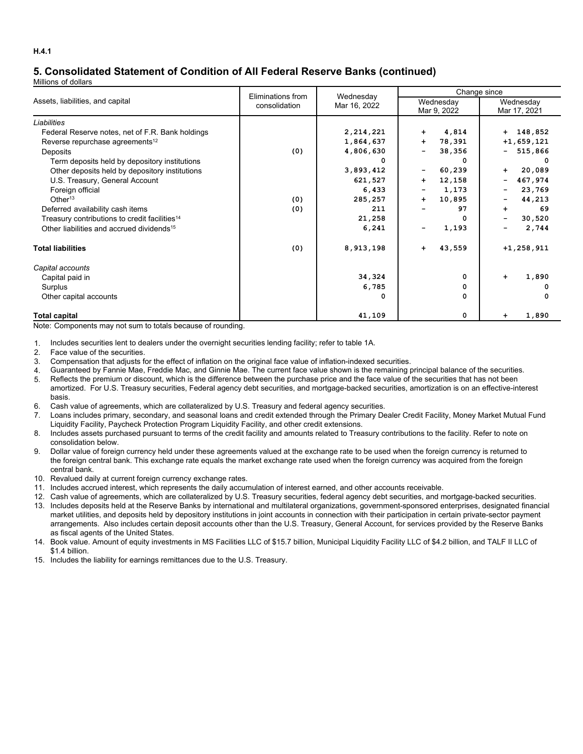# **5. Consolidated Statement of Condition of All Federal Reserve Banks (continued)**

Millions of dollars

|                                                           | Eliminations from | Wednesday    | Change since                           |                           |  |  |  |
|-----------------------------------------------------------|-------------------|--------------|----------------------------------------|---------------------------|--|--|--|
| Assets, liabilities, and capital                          | consolidation     | Mar 16, 2022 | Wednesday<br>Mar 9, 2022               | Wednesday<br>Mar 17, 2021 |  |  |  |
| Liabilities                                               |                   |              |                                        |                           |  |  |  |
| Federal Reserve notes, net of F.R. Bank holdings          |                   | 2,214,221    | 4,814<br>$\ddot{}$                     | $+ 148,852$               |  |  |  |
| Reverse repurchase agreements <sup>12</sup>               |                   | 1,864,637    | 78,391<br>$\ddot{}$                    | $+1,659,121$              |  |  |  |
| Deposits                                                  | (0)               | 4,806,630    | 38,356<br>$\overline{\phantom{a}}$     | 515,866<br>۰.             |  |  |  |
| Term deposits held by depository institutions             |                   | O            | $\Omega$                               |                           |  |  |  |
| Other deposits held by depository institutions            |                   | 3,893,412    | 60,239<br>$\qquad \qquad \blacksquare$ | 20,089<br>$+$             |  |  |  |
| U.S. Treasury, General Account                            |                   | 621,527      | 12,158<br>$\ddot{\phantom{1}}$         | 467,974<br>Ξ.             |  |  |  |
| Foreign official                                          |                   | 6,433        | 1,173<br>$\overline{\phantom{a}}$      | 23,769<br>-               |  |  |  |
| Other <sup>13</sup>                                       | (0)               | 285,257      | 10,895<br>$\ddot{\phantom{1}}$         | 44,213<br>-               |  |  |  |
| Deferred availability cash items                          | (0)               | 211          | 97                                     | 69<br>$\ddot{}$           |  |  |  |
| Treasury contributions to credit facilities <sup>14</sup> |                   | 21,258       | 0                                      | 30,520<br>-               |  |  |  |
| Other liabilities and accrued dividends <sup>15</sup>     |                   | 6,241        | 1,193                                  | 2,744                     |  |  |  |
| <b>Total liabilities</b>                                  | (0)               | 8,913,198    | 43,559<br>$\ddot{\phantom{1}}$         | $+1, 258, 911$            |  |  |  |
| Capital accounts                                          |                   |              |                                        |                           |  |  |  |
| Capital paid in                                           |                   | 34,324       | 0                                      | 1,890<br>$\ddot{}$        |  |  |  |
| Surplus                                                   |                   | 6,785        | 0                                      | o                         |  |  |  |
| Other capital accounts                                    |                   | 0            | 0                                      |                           |  |  |  |
| <b>Total capital</b>                                      |                   | 41,109       | 0                                      | 1,890<br>÷                |  |  |  |

Note: Components may not sum to totals because of rounding.

1. Includes securities lent to dealers under the overnight securities lending facility; refer to table 1A.

- 2. Face value of the securities.
- 3. Compensation that adjusts for the effect of inflation on the original face value of inflation-indexed securities.
- 4. Guaranteed by Fannie Mae, Freddie Mac, and Ginnie Mae. The current face value shown is the remaining principal balance of the securities.
- 5. Reflects the premium or discount, which is the difference between the purchase price and the face value of the securities that has not been amortized. For U.S. Treasury securities, Federal agency debt securities, and mortgage-backed securities, amortization is on an effective-interest basis.
- 6. Cash value of agreements, which are collateralized by U.S. Treasury and federal agency securities.
- 7. Loans includes primary, secondary, and seasonal loans and credit extended through the Primary Dealer Credit Facility, Money Market Mutual Fund Liquidity Facility, Paycheck Protection Program Liquidity Facility, and other credit extensions.
- 8. Includes assets purchased pursuant to terms of the credit facility and amounts related to Treasury contributions to the facility. Refer to note on consolidation below.
- 9. Dollar value of foreign currency held under these agreements valued at the exchange rate to be used when the foreign currency is returned to the foreign central bank. This exchange rate equals the market exchange rate used when the foreign currency was acquired from the foreign central bank.
- 10. Revalued daily at current foreign currency exchange rates.
- 11. Includes accrued interest, which represents the daily accumulation of interest earned, and other accounts receivable.
- 12. Cash value of agreements, which are collateralized by U.S. Treasury securities, federal agency debt securities, and mortgage-backed securities.
- 13. Includes deposits held at the Reserve Banks by international and multilateral organizations, government-sponsored enterprises, designated financial market utilities, and deposits held by depository institutions in joint accounts in connection with their participation in certain private-sector payment arrangements. Also includes certain deposit accounts other than the U.S. Treasury, General Account, for services provided by the Reserve Banks as fiscal agents of the United States.
- 14. Book value. Amount of equity investments in MS Facilities LLC of \$15.7 billion, Municipal Liquidity Facility LLC of \$4.2 billion, and TALF II LLC of \$1.4 billion.
- 15. Includes the liability for earnings remittances due to the U.S. Treasury.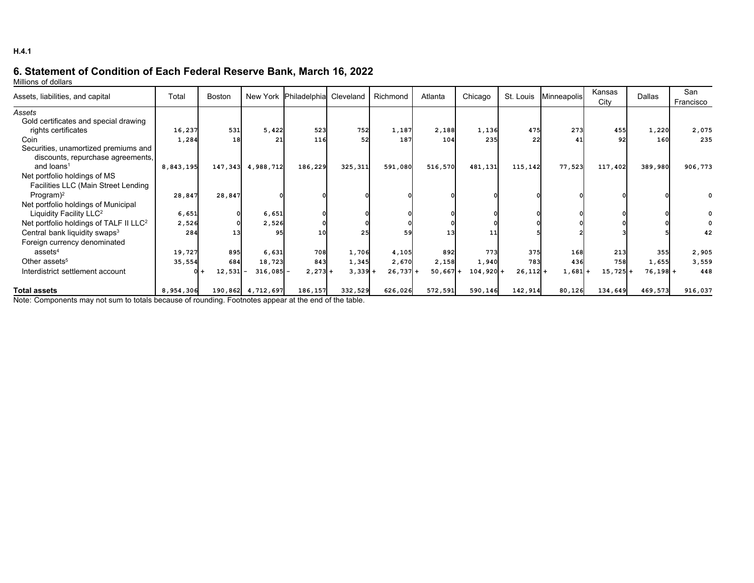# **6. Statement of Condition of Each Federal Reserve Bank, March 16, 2022**

Millions of dollars

| Assets, liabilities, and capital                   | Total     | <b>Boston</b> | New York    | Philadelphia Cleveland |           | Richmond   | Atlanta    | Chicago     | St. Louis  | Minneapolis | Kansas<br>City | Dallas     | San<br>Francisco |
|----------------------------------------------------|-----------|---------------|-------------|------------------------|-----------|------------|------------|-------------|------------|-------------|----------------|------------|------------------|
| Assets                                             |           |               |             |                        |           |            |            |             |            |             |                |            |                  |
| Gold certificates and special drawing              |           |               |             |                        |           |            |            |             |            |             |                |            |                  |
| rights certificates                                | 16,237    | 531           | 5,422       | 523                    | 752       | 1,187      | 2,188      | 1,136       | 475        | 273         | 455            | 1,220      | 2,075            |
| Coin                                               | 1,284     | 18            | 21          | 116                    | 52        | 187        | 104        | 235         | 22         | 41          | 92             | 160        | 235              |
| Securities, unamortized premiums and               |           |               |             |                        |           |            |            |             |            |             |                |            |                  |
| discounts, repurchase agreements,                  |           |               |             |                        |           |            |            |             |            |             |                |            |                  |
| and loans <sup>1</sup>                             | 8,843,195 | 147,343       | 4,988,712   | 186,229                | 325,311   | 591,080    | 516,570    | 481,131     | 115,142    | 77,523      | 117,402        | 389,980    | 906,773          |
| Net portfolio holdings of MS                       |           |               |             |                        |           |            |            |             |            |             |                |            |                  |
| Facilities LLC (Main Street Lending                |           |               |             |                        |           |            |            |             |            |             |                |            |                  |
| Program $)^2$                                      | 28,847    | 28,847        |             |                        |           |            |            |             |            |             |                |            |                  |
| Net portfolio holdings of Municipal                |           |               |             |                        |           |            |            |             |            |             |                |            |                  |
| Liquidity Facility LLC <sup>2</sup>                | 6,651     |               | 6,651       |                        |           |            |            |             |            |             |                |            |                  |
| Net portfolio holdings of TALF II LLC <sup>2</sup> | 2,526     |               | 2,526       |                        |           |            |            |             |            |             |                |            |                  |
| Central bank liquidity swaps <sup>3</sup>          | 284       |               | 95          | 10                     |           | 59         | 13         |             |            |             |                |            | 42               |
| Foreign currency denominated                       |           |               |             |                        |           |            |            |             |            |             |                |            |                  |
| assets <sup>4</sup>                                | 19,727    | 895           | 6,631       | 708                    | 1,706     | 4,105      | 892        | 773         | 375        | 168         | 213            | 355        | 2,905            |
| Other assets <sup>5</sup>                          | 35,554    | 684           | 18,723      | 843                    | 1,345     | 2,670      | 2,158      | 1,940       | 783        | 436         | <b>758</b>     | 1,655      | 3,559            |
| Interdistrict settlement account                   |           | $12,531$ -    | $316,085 -$ | $2,273+$               | $3,339 +$ | $26,737 +$ | $50,667 +$ | $104,920$ + | $26,112$ + | $1,681$ +   | 15,725         | $76,198$ + | 448              |
| <b>Total assets</b><br>$\cdots$ $\sim$<br>.        | 8,954,306 | 190,862       | 4,712,697   | 186,157                | 332,529   | 626,026    | 572,591    | 590,146     | 142,914    | 80,126      | 134,649        | 469,573    | 916,037          |

Note: Components may not sum to totals because of rounding. Footnotes appear at the end of the table.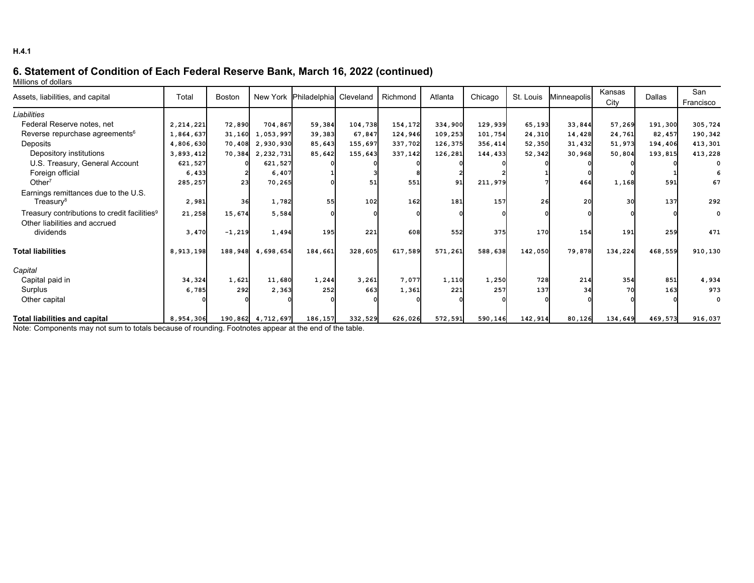# **6. Statement of Condition of Each Federal Reserve Bank, March 16, 2022 (continued)**

Millions of dollars

| Assets, liabilities, and capital                              | Total     | <b>Boston</b> |                   | New York Philadelphia Cleveland |         | Richmond | Atlanta | Chicago | St. Louis | <b>Minneapolis</b> | Kansas  | <b>Dallas</b> | San         |
|---------------------------------------------------------------|-----------|---------------|-------------------|---------------------------------|---------|----------|---------|---------|-----------|--------------------|---------|---------------|-------------|
|                                                               |           |               |                   |                                 |         |          |         |         |           |                    | City    |               | Francisco   |
| Liabilities                                                   |           |               |                   |                                 |         |          |         |         |           |                    |         |               |             |
| Federal Reserve notes, net                                    | 2,214,221 | 72,890        | 704,867           | 59,384                          | 104,738 | 154,172  | 334,900 | 129,939 | 65,193    | 33,844             | 57,269  | 191,300       | 305,724     |
| Reverse repurchase agreements <sup>6</sup>                    | 1,864,637 | 31,160        | 1,053,997         | 39,383                          | 67,847  | 124,946  | 109,253 | 101,754 | 24,310    | 14,428             | 24,761  | 82,457        | 190,342     |
| Deposits                                                      | 4,806,630 |               | 70,408 2,930,930  | 85,643                          | 155,697 | 337,702  | 126,375 | 356,414 | 52,350    | 31,432             | 51,973  | 194,406       | 413,301     |
| Depository institutions                                       | 3,893,412 |               | 70,384 2,232,731  | 85,642                          | 155,643 | 337,142  | 126,281 | 144,433 | 52,342    | 30,968             | 50,804  | 193,815       | 413,228     |
| U.S. Treasury, General Account                                | 621,527   |               | 621,527           |                                 |         |          |         |         |           |                    |         |               |             |
| Foreign official                                              | 6,433     |               | 6,407             |                                 |         |          |         |         |           |                    |         |               |             |
| Other $7$                                                     | 285,257   | 23            | 70,265            |                                 | 51      | 551      | 91      | 211,979 |           | 464                | 1,168   | 591           | 67          |
| Earnings remittances due to the U.S.<br>Treasury <sup>8</sup> | 2,981     | 36            | 1,782             | 55I                             | 102     | 162      | 181     | 157     | 26l       | 20                 | 30      | 137           | 292         |
| Treasury contributions to credit facilities <sup>9</sup>      | 21,258    | 15,674        | 5,584             |                                 |         |          |         |         |           |                    |         |               | $\mathbf 0$ |
| Other liabilities and accrued                                 |           |               |                   |                                 |         |          |         |         |           |                    |         |               |             |
| dividends                                                     | 3,470     | $-1,219$      | 1,494             | 195                             | 221     | 608      | 552     | 375     | 170       | 154                | 191     | 259           | 471         |
| <b>Total liabilities</b>                                      | 8,913,198 | 188,948       | 4,698,654         | 184,661                         | 328,605 | 617,589  | 571,261 | 588,638 | 142,050   | 79,878             | 134,224 | 468,559       | 910,130     |
| Capital                                                       |           |               |                   |                                 |         |          |         |         |           |                    |         |               |             |
| Capital paid in                                               | 34,324    | 1,621         | 11,680            | 1,244                           | 3,261   | 7,077    | 1,110   | 1,250   | 728       | 214                | 354     | 851           | 4,934       |
| Surplus                                                       | 6,785     | 292           | 2,363             | 252                             | 663     | 1,361    | 221     | 257     | 137       | 34                 | 70      | 163           | 973         |
| Other capital                                                 |           |               |                   |                                 |         |          |         |         |           |                    |         |               | $\Omega$    |
| <b>Total liabilities and capital</b>                          | 8,954,306 |               | 190,862 4,712,697 | 186,157                         | 332,529 | 626,026  | 572,591 | 590,146 | 142,914   | 80,126             | 134,649 | 469,573       | 916,037     |

Note: Components may not sum to totals because of rounding. Footnotes appear at the end of the table.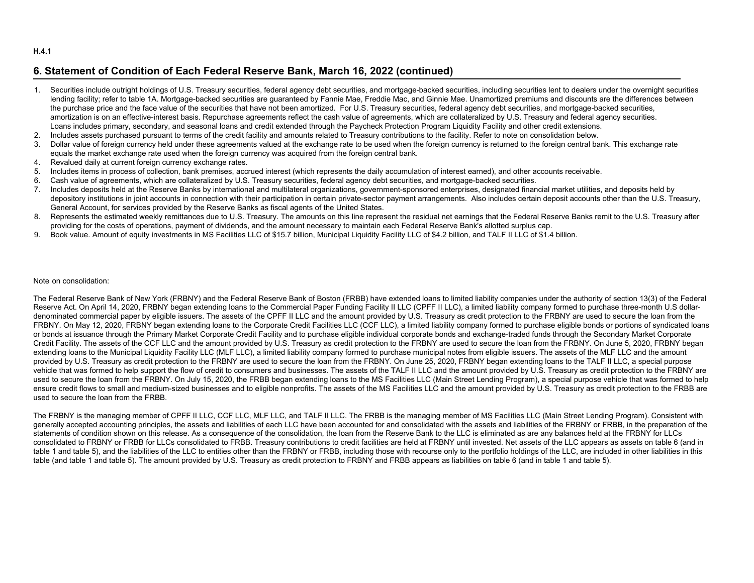#### **H.4.1**

## **6. Statement of Condition of Each Federal Reserve Bank, March 16, 2022 (continued)**

- 1. Securities include outright holdings of U.S. Treasury securities, federal agency debt securities, and mortgage-backed securities, including securities lent to dealers under the overnight securities lending facility; refer to table 1A. Mortgage-backed securities are quaranteed by Fannie Mae, Freddie Mac, and Ginnie Mae. Unamortized premiums and discounts are the differences between the purchase price and the face value of the securities that have not been amortized. For U.S. Treasury securities, federal agency debt securities, and mortgage-backed securities, amortization is on an effective-interest basis. Repurchase agreements reflect the cash value of agreements, which are collateralized by U.S. Treasury and federal agency securities. Loans includes primary, secondary, and seasonal loans and credit extended through the Paycheck Protection Program Liquidity Facility and other credit extensions.
- 2. Includes assets purchased pursuant to terms of the credit facility and amounts related to Treasury contributions to the facility. Refer to note on consolidation below.
- 3. Dollar value of foreign currency held under these agreements valued at the exchange rate to be used when the foreign currency is returned to the foreign central bank. This exchange rate equals the market exchange rate used when the foreign currency was acquired from the foreign central bank.
- 4. Revalued daily at current foreign currency exchange rates.
- 5. Includes items in process of collection, bank premises, accrued interest (which represents the daily accumulation of interest earned), and other accounts receivable.
- 6. Cash value of agreements, which are collateralized by U.S. Treasury securities, federal agency debt securities, and mortgage-backed securities.
- 7. Includes deposits held at the Reserve Banks by international and multilateral organizations, government-sponsored enterprises, designated financial market utilities, and deposits held by depository institutions in joint accounts in connection with their participation in certain private-sector payment arrangements. Also includes certain deposit accounts other than the U.S. Treasury, General Account, for services provided by the Reserve Banks as fiscal agents of the United States.
- 8. Represents the estimated weekly remittances due to U.S. Treasury. The amounts on this line represent the residual net earnings that the Federal Reserve Banks remit to the U.S. Treasury after providing for the costs of operations, payment of dividends, and the amount necessary to maintain each Federal Reserve Bank's allotted surplus cap.
- 9. Book value. Amount of equity investments in MS Facilities LLC of \$15.7 billion, Municipal Liquidity Facility LLC of \$4.2 billion, and TALF II LLC of \$1.4 billion.

#### Note on consolidation:

The Federal Reserve Bank of New York (FRBNY) and the Federal Reserve Bank of Boston (FRBB) have extended loans to limited liability companies under the authority of section 13(3) of the Federal Reserve Act. On April 14, 2020, FRBNY began extending loans to the Commercial Paper Funding Facility II LLC (CPFF II LLC), a limited liability company formed to purchase three-month U.S dollardenominated commercial paper by eligible issuers. The assets of the CPFF II LLC and the amount provided by U.S. Treasury as credit protection to the FRBNY are used to secure the loan from the FRBNY. On May 12, 2020, FRBNY began extending loans to the Corporate Credit Facilities LLC (CCF LLC), a limited liability company formed to purchase eligible bonds or portions of syndicated loans or bonds at issuance through the Primary Market Corporate Credit Facility and to purchase eligible individual corporate bonds and exchange-traded funds through the Secondary Market Corporate Credit Facility. The assets of the CCF LLC and the amount provided by U.S. Treasury as credit protection to the FRBNY are used to secure the loan from the FRBNY. On June 5, 2020, FRBNY began extending loans to the Municipal Liquidity Facility LLC (MLF LLC), a limited liability company formed to purchase municipal notes from eligible issuers. The assets of the MLF LLC and the amount provided by U.S. Treasury as credit protection to the FRBNY are used to secure the loan from the FRBNY. On June 25, 2020, FRBNY began extending loans to the TALF II LLC, a special purpose vehicle that was formed to help support the flow of credit to consumers and businesses. The assets of the TALF II LLC and the amount provided by U.S. Treasury as credit protection to the FRBNY are used to secure the loan from the FRBNY. On July 15, 2020, the FRBB began extending loans to the MS Facilities LLC (Main Street Lending Program), a special purpose vehicle that was formed to help ensure credit flows to small and medium-sized businesses and to eligible nonprofits. The assets of the MS Facilities LLC and the amount provided by U.S. Treasury as credit protection to the FRBB are used to secure the loan from the FRBB.

The FRBNY is the managing member of CPFF II LLC, CCF LLC, MLF LLC, and TALF II LLC. The FRBB is the managing member of MS Facilities LLC (Main Street Lending Program). Consistent with generally accepted accounting principles, the assets and liabilities of each LLC have been accounted for and consolidated with the assets and liabilities of the FRBNY or FRBB, in the preparation of the statements of condition shown on this release. As a consequence of the consolidation, the loan from the Reserve Bank to the LLC is eliminated as are any balances held at the FRBNY for LLCs consolidated to FRBNY or FRBB for LLCs consolidated to FRBB. Treasury contributions to credit facilities are held at FRBNY until invested. Net assets of the LLC appears as assets on table 6 (and in table 1 and table 5), and the liabilities of the LLC to entities other than the FRBNY or FRBB, including those with recourse only to the portfolio holdings of the LLC, are included in other liabilities in this table (and table 1 and table 5). The amount provided by U.S. Treasury as credit protection to FRBNY and FRBB appears as liabilities on table 6 (and in table 1 and table 5).